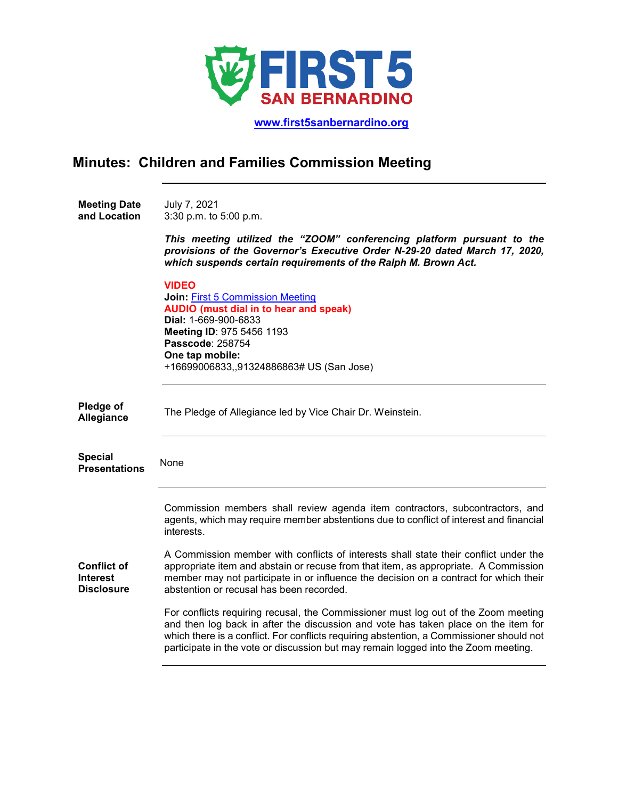

 **[www.first5sanbernardino.org](http://www.first5sanbernardino.org/)**

## **Minutes: Children and Families Commission Meeting**

**Meeting Date and Location**  July 7, 2021 3:30 p.m. to 5:00 p.m.

> *This meeting utilized the "ZOOM" conferencing platform pursuant to the provisions of the Governor's Executive Order N-29-20 dated March 17, 2020, which suspends certain requirements of the Ralph M. Brown Act.*

|                                                            | <b>VIDEO</b><br><b>Join: First 5 Commission Meeting</b><br><b>AUDIO</b> (must dial in to hear and speak)<br><b>Dial: 1-669-900-6833</b><br>Meeting ID: 975 5456 1193<br><b>Passcode: 258754</b><br>One tap mobile:<br>+16699006833,,91324886863# US (San Jose)                                                                                             |
|------------------------------------------------------------|------------------------------------------------------------------------------------------------------------------------------------------------------------------------------------------------------------------------------------------------------------------------------------------------------------------------------------------------------------|
| Pledge of<br>Allegiance                                    | The Pledge of Allegiance led by Vice Chair Dr. Weinstein.                                                                                                                                                                                                                                                                                                  |
| <b>Special</b><br><b>Presentations</b>                     | None                                                                                                                                                                                                                                                                                                                                                       |
|                                                            | Commission members shall review agenda item contractors, subcontractors, and<br>agents, which may require member abstentions due to conflict of interest and financial<br>interests.                                                                                                                                                                       |
| <b>Conflict of</b><br><b>Interest</b><br><b>Disclosure</b> | A Commission member with conflicts of interests shall state their conflict under the<br>appropriate item and abstain or recuse from that item, as appropriate. A Commission<br>member may not participate in or influence the decision on a contract for which their<br>abstention or recusal has been recorded.                                           |
|                                                            | For conflicts requiring recusal, the Commissioner must log out of the Zoom meeting<br>and then log back in after the discussion and vote has taken place on the item for<br>which there is a conflict. For conflicts requiring abstention, a Commissioner should not<br>participate in the vote or discussion but may remain logged into the Zoom meeting. |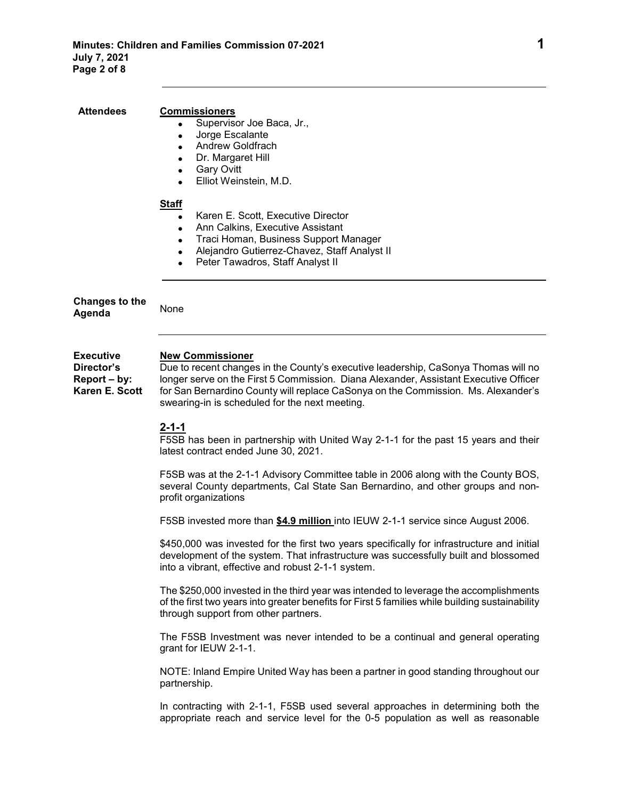• Supervisor Joe Baca, Jr.,

• Jorge Escalante • Andrew Goldfrach

**Attendees Commissioners**

|                                                                  | Dr. Margaret Hill<br>$\bullet$<br><b>Gary Ovitt</b><br>$\bullet$                                                                                                                                                                                                                                                                             |
|------------------------------------------------------------------|----------------------------------------------------------------------------------------------------------------------------------------------------------------------------------------------------------------------------------------------------------------------------------------------------------------------------------------------|
|                                                                  | Elliot Weinstein, M.D.                                                                                                                                                                                                                                                                                                                       |
|                                                                  | <b>Staff</b><br>Karen E. Scott, Executive Director<br>$\bullet$<br>Ann Calkins, Executive Assistant<br>$\bullet$<br>Traci Homan, Business Support Manager<br>$\bullet$<br>Alejandro Gutierrez-Chavez, Staff Analyst II<br>Peter Tawadros, Staff Analyst II                                                                                   |
| <b>Changes to the</b><br>Agenda                                  | None                                                                                                                                                                                                                                                                                                                                         |
| <b>Executive</b><br>Director's<br>Report – by:<br>Karen E. Scott | <b>New Commissioner</b><br>Due to recent changes in the County's executive leadership, CaSonya Thomas will no<br>longer serve on the First 5 Commission. Diana Alexander, Assistant Executive Officer<br>for San Bernardino County will replace CaSonya on the Commission. Ms. Alexander's<br>swearing-in is scheduled for the next meeting. |
|                                                                  | $2 - 1 - 1$<br>F5SB has been in partnership with United Way 2-1-1 for the past 15 years and their<br>latest contract ended June 30, 2021.                                                                                                                                                                                                    |
|                                                                  | F5SB was at the 2-1-1 Advisory Committee table in 2006 along with the County BOS,<br>several County departments, Cal State San Bernardino, and other groups and non-<br>profit organizations                                                                                                                                                 |
|                                                                  | F5SB invested more than \$4.9 million into IEUW 2-1-1 service since August 2006.                                                                                                                                                                                                                                                             |
|                                                                  | \$450,000 was invested for the first two years specifically for infrastructure and initial<br>development of the system. That infrastructure was successfully built and blossomed<br>into a vibrant, effective and robust 2-1-1 system.                                                                                                      |
|                                                                  | The \$250,000 invested in the third year was intended to leverage the accomplishments<br>of the first two years into greater benefits for First 5 families while building sustainability<br>through support from other partners.                                                                                                             |
|                                                                  | The F5SB Investment was never intended to be a continual and general operating<br>grant for IEUW 2-1-1.                                                                                                                                                                                                                                      |
|                                                                  | NOTE: Inland Empire United Way has been a partner in good standing throughout our<br>partnership.                                                                                                                                                                                                                                            |
|                                                                  | In contracting with 2-1-1, F5SB used several approaches in determining both the<br>appropriate reach and service level for the 0-5 population as well as reasonable                                                                                                                                                                          |
|                                                                  |                                                                                                                                                                                                                                                                                                                                              |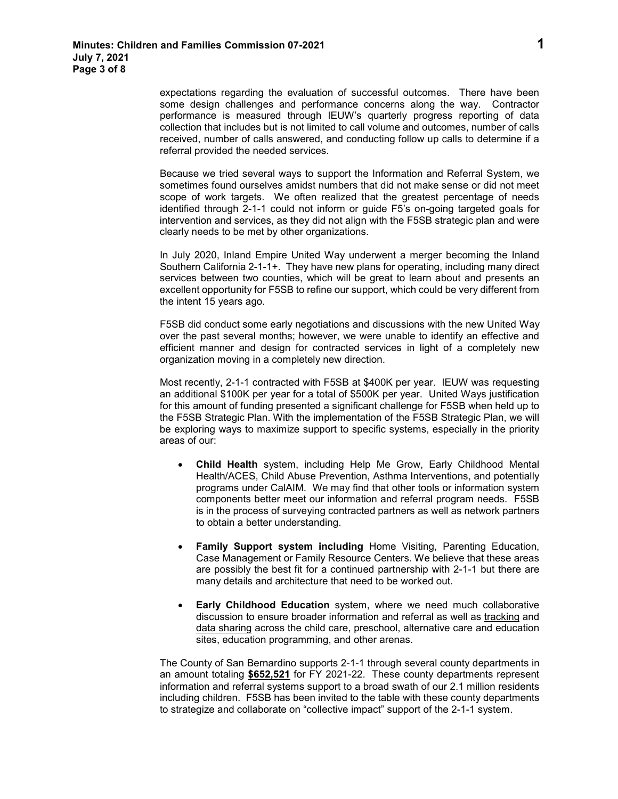expectations regarding the evaluation of successful outcomes. There have been some design challenges and performance concerns along the way. Contractor performance is measured through IEUW's quarterly progress reporting of data collection that includes but is not limited to call volume and outcomes, number of calls received, number of calls answered, and conducting follow up calls to determine if a referral provided the needed services.

Because we tried several ways to support the Information and Referral System, we sometimes found ourselves amidst numbers that did not make sense or did not meet scope of work targets. We often realized that the greatest percentage of needs identified through 2-1-1 could not inform or guide F5's on-going targeted goals for intervention and services, as they did not align with the F5SB strategic plan and were clearly needs to be met by other organizations.

In July 2020, Inland Empire United Way underwent a merger becoming the Inland Southern California 2-1-1+. They have new plans for operating, including many direct services between two counties, which will be great to learn about and presents an excellent opportunity for F5SB to refine our support, which could be very different from the intent 15 years ago.

F5SB did conduct some early negotiations and discussions with the new United Way over the past several months; however, we were unable to identify an effective and efficient manner and design for contracted services in light of a completely new organization moving in a completely new direction.

Most recently, 2-1-1 contracted with F5SB at \$400K per year. IEUW was requesting an additional \$100K per year for a total of \$500K per year. United Ways justification for this amount of funding presented a significant challenge for F5SB when held up to the F5SB Strategic Plan. With the implementation of the F5SB Strategic Plan, we will be exploring ways to maximize support to specific systems, especially in the priority areas of our:

- **Child Health** system, including Help Me Grow, Early Childhood Mental Health/ACES, Child Abuse Prevention, Asthma Interventions, and potentially programs under CalAIM. We may find that other tools or information system components better meet our information and referral program needs. F5SB is in the process of surveying contracted partners as well as network partners to obtain a better understanding.
- **Family Support system including** Home Visiting, Parenting Education, Case Management or Family Resource Centers. We believe that these areas are possibly the best fit for a continued partnership with 2-1-1 but there are many details and architecture that need to be worked out.
- **Early Childhood Education** system, where we need much collaborative discussion to ensure broader information and referral as well as tracking and data sharing across the child care, preschool, alternative care and education sites, education programming, and other arenas.

The County of San Bernardino supports 2-1-1 through several county departments in an amount totaling **\$652,521** for FY 2021-22. These county departments represent information and referral systems support to a broad swath of our 2.1 million residents including children. F5SB has been invited to the table with these county departments to strategize and collaborate on "collective impact" support of the 2-1-1 system.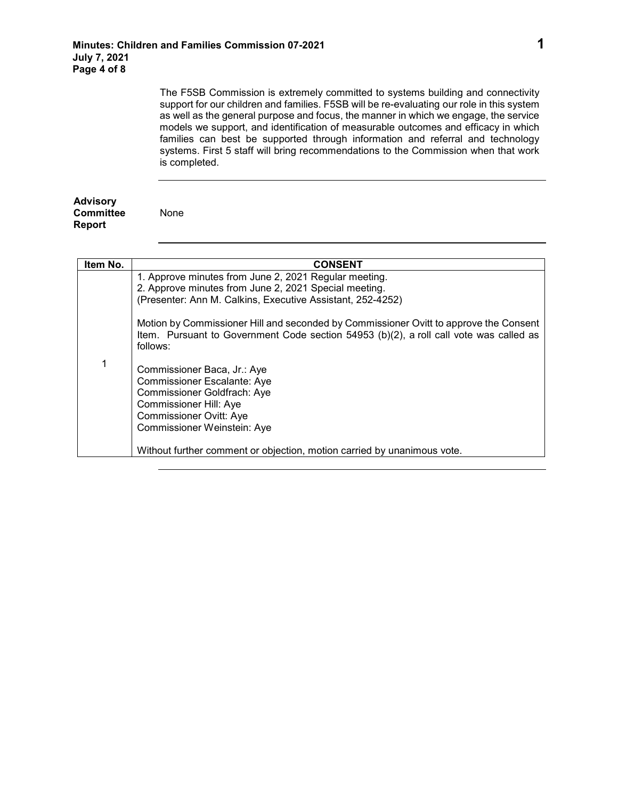None

The F5SB Commission is extremely committed to systems building and connectivity support for our children and families. F5SB will be re-evaluating our role in this system as well as the general purpose and focus, the manner in which we engage, the service models we support, and identification of measurable outcomes and efficacy in which families can best be supported through information and referral and technology systems. First 5 staff will bring recommendations to the Commission when that work is completed.

## **Advisory Committee Report**

| Item No. | <b>CONSENT</b>                                                                                                                                                                              |
|----------|---------------------------------------------------------------------------------------------------------------------------------------------------------------------------------------------|
|          | 1. Approve minutes from June 2, 2021 Regular meeting.                                                                                                                                       |
|          | 2. Approve minutes from June 2, 2021 Special meeting.                                                                                                                                       |
|          | (Presenter: Ann M. Calkins, Executive Assistant, 252-4252)                                                                                                                                  |
|          | Motion by Commissioner Hill and seconded by Commissioner Ovitt to approve the Consent<br>Item. Pursuant to Government Code section 54953 (b)(2), a roll call vote was called as<br>follows: |
| 1        | Commissioner Baca, Jr.: Aye                                                                                                                                                                 |
|          | <b>Commissioner Escalante: Aye</b>                                                                                                                                                          |
|          | Commissioner Goldfrach: Aye                                                                                                                                                                 |
|          | <b>Commissioner Hill: Aye</b>                                                                                                                                                               |
|          | <b>Commissioner Ovitt: Aye</b>                                                                                                                                                              |
|          | Commissioner Weinstein: Aye                                                                                                                                                                 |
|          | Without further comment or objection, motion carried by unanimous vote.                                                                                                                     |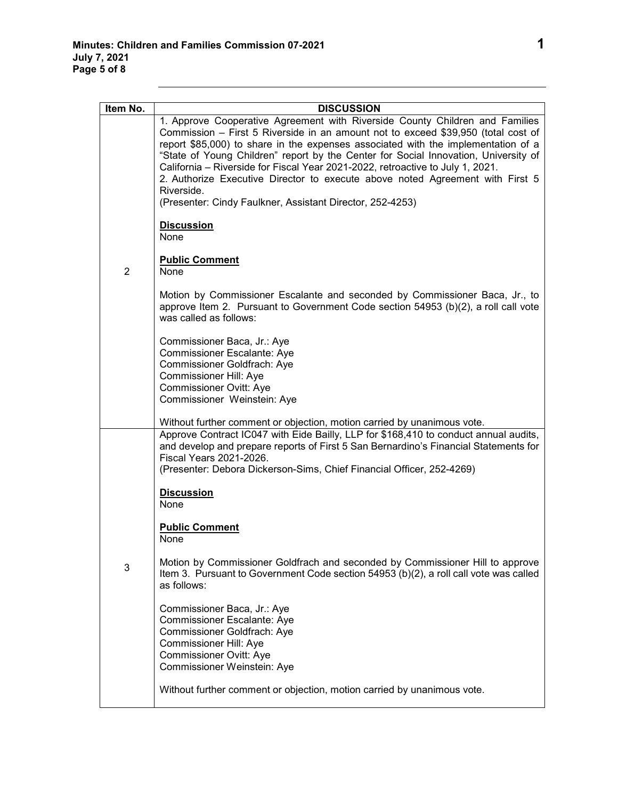| Item No.       | <b>DISCUSSION</b>                                                                                                                                                                                                                                                                                                                                                                                                                                                                                                              |
|----------------|--------------------------------------------------------------------------------------------------------------------------------------------------------------------------------------------------------------------------------------------------------------------------------------------------------------------------------------------------------------------------------------------------------------------------------------------------------------------------------------------------------------------------------|
|                | 1. Approve Cooperative Agreement with Riverside County Children and Families<br>Commission - First 5 Riverside in an amount not to exceed \$39,950 (total cost of<br>report \$85,000) to share in the expenses associated with the implementation of a<br>"State of Young Children" report by the Center for Social Innovation, University of<br>California - Riverside for Fiscal Year 2021-2022, retroactive to July 1, 2021.<br>2. Authorize Executive Director to execute above noted Agreement with First 5<br>Riverside. |
|                | (Presenter: Cindy Faulkner, Assistant Director, 252-4253)                                                                                                                                                                                                                                                                                                                                                                                                                                                                      |
|                | <b>Discussion</b><br>None                                                                                                                                                                                                                                                                                                                                                                                                                                                                                                      |
| $\overline{2}$ | <b>Public Comment</b><br>None                                                                                                                                                                                                                                                                                                                                                                                                                                                                                                  |
|                | Motion by Commissioner Escalante and seconded by Commissioner Baca, Jr., to<br>approve Item 2. Pursuant to Government Code section 54953 (b)(2), a roll call vote<br>was called as follows:                                                                                                                                                                                                                                                                                                                                    |
|                | Commissioner Baca, Jr.: Aye<br>Commissioner Escalante: Aye<br>Commissioner Goldfrach: Aye<br><b>Commissioner Hill: Aye</b><br><b>Commissioner Ovitt: Aye</b><br>Commissioner Weinstein: Aye                                                                                                                                                                                                                                                                                                                                    |
|                | Without further comment or objection, motion carried by unanimous vote.                                                                                                                                                                                                                                                                                                                                                                                                                                                        |
|                | Approve Contract IC047 with Eide Bailly, LLP for \$168,410 to conduct annual audits,<br>and develop and prepare reports of First 5 San Bernardino's Financial Statements for<br>Fiscal Years 2021-2026.<br>(Presenter: Debora Dickerson-Sims, Chief Financial Officer, 252-4269)                                                                                                                                                                                                                                               |
|                | <b>Discussion</b><br>None                                                                                                                                                                                                                                                                                                                                                                                                                                                                                                      |
|                | <b>Public Comment</b><br>None                                                                                                                                                                                                                                                                                                                                                                                                                                                                                                  |
| 3              | Motion by Commissioner Goldfrach and seconded by Commissioner Hill to approve<br>Item 3. Pursuant to Government Code section 54953 (b)(2), a roll call vote was called<br>as follows:                                                                                                                                                                                                                                                                                                                                          |
|                | Commissioner Baca, Jr.: Aye<br>Commissioner Escalante: Aye<br>Commissioner Goldfrach: Aye<br>Commissioner Hill: Aye<br>Commissioner Ovitt: Aye<br>Commissioner Weinstein: Aye                                                                                                                                                                                                                                                                                                                                                  |
|                | Without further comment or objection, motion carried by unanimous vote.                                                                                                                                                                                                                                                                                                                                                                                                                                                        |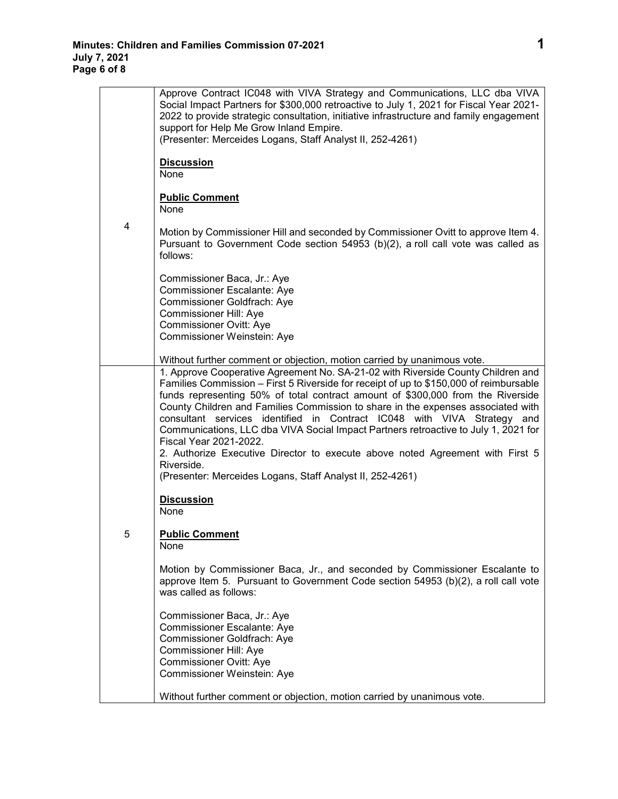|   | Approve Contract IC048 with VIVA Strategy and Communications, LLC dba VIVA<br>Social Impact Partners for \$300,000 retroactive to July 1, 2021 for Fiscal Year 2021-<br>2022 to provide strategic consultation, initiative infrastructure and family engagement<br>support for Help Me Grow Inland Empire.<br>(Presenter: Merceides Logans, Staff Analyst II, 252-4261)                                                                                                                                                                                                                                                                                                                                   |
|---|-----------------------------------------------------------------------------------------------------------------------------------------------------------------------------------------------------------------------------------------------------------------------------------------------------------------------------------------------------------------------------------------------------------------------------------------------------------------------------------------------------------------------------------------------------------------------------------------------------------------------------------------------------------------------------------------------------------|
|   | <b>Discussion</b><br>None                                                                                                                                                                                                                                                                                                                                                                                                                                                                                                                                                                                                                                                                                 |
|   | <b>Public Comment</b><br>None                                                                                                                                                                                                                                                                                                                                                                                                                                                                                                                                                                                                                                                                             |
| 4 | Motion by Commissioner Hill and seconded by Commissioner Ovitt to approve Item 4.<br>Pursuant to Government Code section 54953 (b)(2), a roll call vote was called as<br>follows:                                                                                                                                                                                                                                                                                                                                                                                                                                                                                                                         |
|   | Commissioner Baca, Jr.: Aye<br>Commissioner Escalante: Aye<br>Commissioner Goldfrach: Aye<br>Commissioner Hill: Aye<br>Commissioner Ovitt: Aye<br>Commissioner Weinstein: Aye                                                                                                                                                                                                                                                                                                                                                                                                                                                                                                                             |
|   | Without further comment or objection, motion carried by unanimous vote.                                                                                                                                                                                                                                                                                                                                                                                                                                                                                                                                                                                                                                   |
|   | 1. Approve Cooperative Agreement No. SA-21-02 with Riverside County Children and<br>Families Commission - First 5 Riverside for receipt of up to \$150,000 of reimbursable<br>funds representing 50% of total contract amount of \$300,000 from the Riverside<br>County Children and Families Commission to share in the expenses associated with<br>consultant services identified in Contract IC048 with VIVA Strategy and<br>Communications, LLC dba VIVA Social Impact Partners retroactive to July 1, 2021 for<br>Fiscal Year 2021-2022.<br>2. Authorize Executive Director to execute above noted Agreement with First 5<br>Riverside.<br>(Presenter: Merceides Logans, Staff Analyst II, 252-4261) |
|   | <b>Discussion</b><br>None                                                                                                                                                                                                                                                                                                                                                                                                                                                                                                                                                                                                                                                                                 |
| 5 | <b>Public Comment</b><br>None                                                                                                                                                                                                                                                                                                                                                                                                                                                                                                                                                                                                                                                                             |
|   | Motion by Commissioner Baca, Jr., and seconded by Commissioner Escalante to<br>approve Item 5. Pursuant to Government Code section 54953 (b)(2), a roll call vote<br>was called as follows:                                                                                                                                                                                                                                                                                                                                                                                                                                                                                                               |
|   | Commissioner Baca, Jr.: Aye<br>Commissioner Escalante: Aye<br>Commissioner Goldfrach: Aye<br>Commissioner Hill: Aye<br><b>Commissioner Ovitt: Aye</b><br>Commissioner Weinstein: Aye                                                                                                                                                                                                                                                                                                                                                                                                                                                                                                                      |
|   | Without further comment or objection, motion carried by unanimous vote.                                                                                                                                                                                                                                                                                                                                                                                                                                                                                                                                                                                                                                   |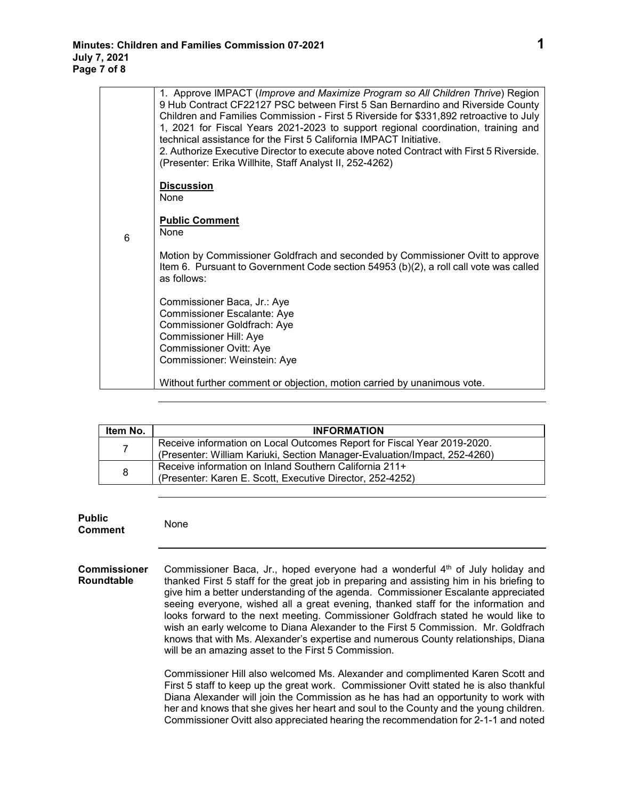|   | 1. Approve IMPACT (Improve and Maximize Program so All Children Thrive) Region<br>9 Hub Contract CF22127 PSC between First 5 San Bernardino and Riverside County<br>Children and Families Commission - First 5 Riverside for \$331,892 retroactive to July<br>1, 2021 for Fiscal Years 2021-2023 to support regional coordination, training and<br>technical assistance for the First 5 California IMPACT Initiative.<br>2. Authorize Executive Director to execute above noted Contract with First 5 Riverside.<br>(Presenter: Erika Willhite, Staff Analyst II, 252-4262) |
|---|-----------------------------------------------------------------------------------------------------------------------------------------------------------------------------------------------------------------------------------------------------------------------------------------------------------------------------------------------------------------------------------------------------------------------------------------------------------------------------------------------------------------------------------------------------------------------------|
|   | <b>Discussion</b><br>None                                                                                                                                                                                                                                                                                                                                                                                                                                                                                                                                                   |
| 6 | <b>Public Comment</b><br>None                                                                                                                                                                                                                                                                                                                                                                                                                                                                                                                                               |
|   | Motion by Commissioner Goldfrach and seconded by Commissioner Ovitt to approve<br>Item 6. Pursuant to Government Code section 54953 (b)(2), a roll call vote was called<br>as follows:                                                                                                                                                                                                                                                                                                                                                                                      |
|   | Commissioner Baca, Jr.: Aye<br>Commissioner Escalante: Aye<br>Commissioner Goldfrach: Aye                                                                                                                                                                                                                                                                                                                                                                                                                                                                                   |
|   | Commissioner Hill: Aye                                                                                                                                                                                                                                                                                                                                                                                                                                                                                                                                                      |
|   | <b>Commissioner Ovitt: Aye</b>                                                                                                                                                                                                                                                                                                                                                                                                                                                                                                                                              |
|   | Commissioner: Weinstein: Aye                                                                                                                                                                                                                                                                                                                                                                                                                                                                                                                                                |
|   | Without further comment or objection, motion carried by unanimous vote.                                                                                                                                                                                                                                                                                                                                                                                                                                                                                                     |

| Item No.       | <b>INFORMATION</b>                                                                                                                                   |
|----------------|------------------------------------------------------------------------------------------------------------------------------------------------------|
| $\overline{7}$ | Receive information on Local Outcomes Report for Fiscal Year 2019-2020.<br>(Presenter: William Kariuki, Section Manager-Evaluation/Impact, 252-4260) |
| 8              | Receive information on Inland Southern California 211+<br>(Presenter: Karen E. Scott, Executive Director, 252-4252)                                  |

| <b>Public</b><br><b>Comment</b>          | None                                                                                                                                                                                                                                                                                                                                                                                                                                                                                                                                                                                                                                                                                      |
|------------------------------------------|-------------------------------------------------------------------------------------------------------------------------------------------------------------------------------------------------------------------------------------------------------------------------------------------------------------------------------------------------------------------------------------------------------------------------------------------------------------------------------------------------------------------------------------------------------------------------------------------------------------------------------------------------------------------------------------------|
| <b>Commissioner</b><br><b>Roundtable</b> | Commissioner Baca, Jr., hoped everyone had a wonderful 4 <sup>th</sup> of July holiday and<br>thanked First 5 staff for the great job in preparing and assisting him in his briefing to<br>give him a better understanding of the agenda. Commissioner Escalante appreciated<br>seeing everyone, wished all a great evening, thanked staff for the information and<br>looks forward to the next meeting. Commissioner Goldfrach stated he would like to<br>wish an early welcome to Diana Alexander to the First 5 Commission. Mr. Goldfrach<br>knows that with Ms. Alexander's expertise and numerous County relationships, Diana<br>will be an amazing asset to the First 5 Commission. |
|                                          | Commissioner Hill also welcomed Ms. Alexander and complimented Karen Scott and<br>First 5 staff to keep up the great work. Commissioner Ovitt stated he is also thankful<br>Diana Alexander will join the Commission as he has had an opportunity to work with<br>her and knows that she gives her heart and soul to the County and the young children.<br>Commissioner Ovitt also appreciated hearing the recommendation for 2-1-1 and noted                                                                                                                                                                                                                                             |